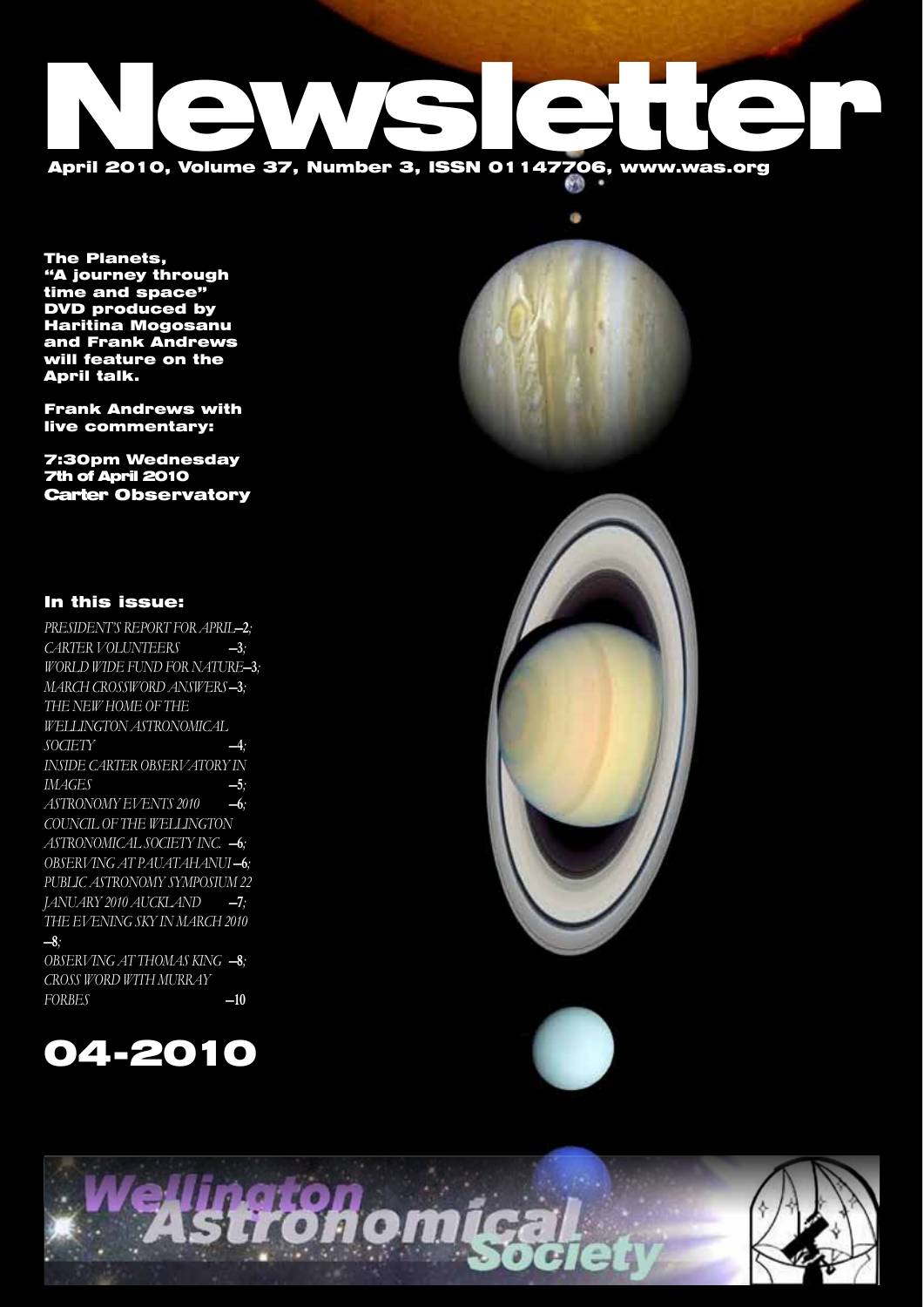# April 2010, Volume 37, Number 3, ISSN 01147706, www.was.org

The Planets, "A journey through time and space" DVD produced by Haritina Mogosanu and Frank Andrews will feature on the April talk.

Frank Andrews with live commentary:

7:30pm Wednesday 7th of April 2010 Carter Observatory



### In this issue:

*PRESIDENT'S REPORT FOR APRIL* -2*; CARTER VOLUNTEERS* —3*; WORLD WIDE FUND FOR NATURE-3; MARCH CROSSWORD ANSWERS*-3; *The new home of the Wellington Astronomical Society* —4*; Inside Carter Observatory in images* —5*; ASTRONOMY EVENTS 2010* —6*; COUNCIL OF THE WELLINGTON ASTRONOMICAL SOCIETY INC.* —6*;* OBSERVING AT PAUATAHANUI-6; *Public Astronomy Symposium 22 JANUARY 2010 AUCKLAND* -7; *The Evening Sky in March 2010* —8*;*

*OBSERVING AT THOMAS KING* -8*; Cross Word with Murray Forbes* —10







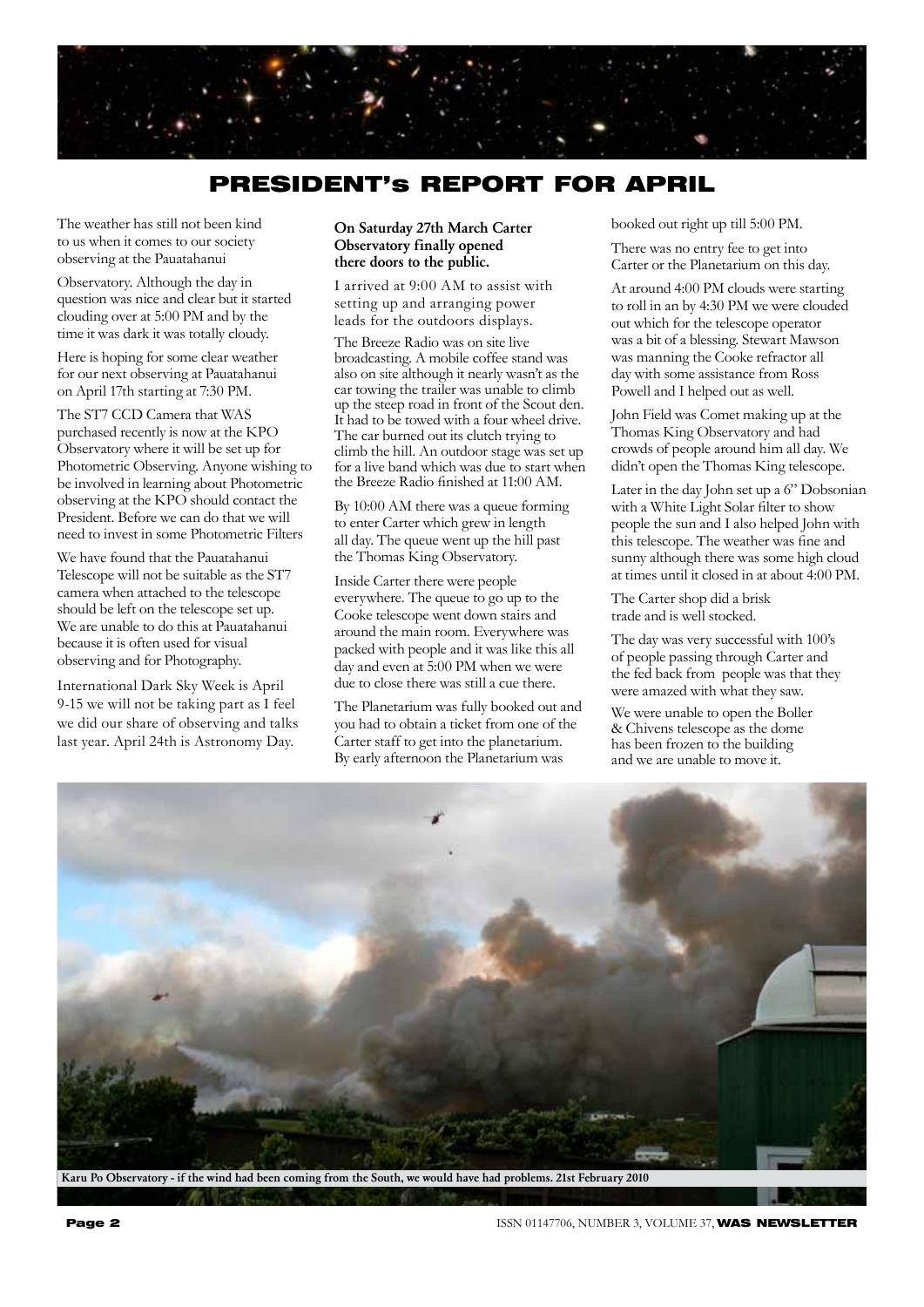

# PRESIDENT's REPORT FOR APRIL

The weather has still not been kind to us when it comes to our society observing at the Pauatahanui

Observatory. Although the day in question was nice and clear but it started clouding over at 5:00 PM and by the time it was dark it was totally cloudy.

Here is hoping for some clear weather for our next observing at Pauatahanui on April 17th starting at 7:30 PM.

The ST7 CCD Camera that WAS purchased recently is now at the KPO Observatory where it will be set up for Photometric Observing. Anyone wishing to be involved in learning about Photometric observing at the KPO should contact the President. Before we can do that we will need to invest in some Photometric Filters

We have found that the Pauatahanui Telescope will not be suitable as the ST7 camera when attached to the telescope should be left on the telescope set up. We are unable to do this at Pauatahanui because it is often used for visual observing and for Photography.

International Dark Sky Week is April 9-15 we will not be taking part as I feel we did our share of observing and talks last year. April 24th is Astronomy Day.

#### On Saturday 27th March Carter Observatory finally opened there doors to the public.

I arrived at 9:00 AM to assist with setting up and arranging power leads for the outdoors displays.

The Breeze Radio was on site live broadcasting. A mobile coffee stand was also on site although it nearly wasn't as the car towing the trailer was unable to climb up the steep road in front of the Scout den. It had to be towed with a four wheel drive. The car burned out its clutch trying to climb the hill. An outdoor stage was set up for a live band which was due to start when the Breeze Radio finished at 11:00 AM.

By 10:00 AM there was a queue forming to enter Carter which grew in length all day. The queue went up the hill past the Thomas King Observatory.

Inside Carter there were people everywhere. The queue to go up to the Cooke telescope went down stairs and around the main room. Everywhere was packed with people and it was like this all day and even at 5:00 PM when we were due to close there was still a cue there.

The Planetarium was fully booked out and you had to obtain a ticket from one of the Carter staff to get into the planetarium. By early afternoon the Planetarium was

booked out right up till 5:00 PM.

There was no entry fee to get into Carter or the Planetarium on this day.

At around 4:00 PM clouds were starting to roll in an by 4:30 PM we were clouded out which for the telescope operator was a bit of a blessing. Stewart Mawson was manning the Cooke refractor all day with some assistance from Ross Powell and I helped out as well.

John Field was Comet making up at the Thomas King Observatory and had crowds of people around him all day. We didn't open the Thomas King telescope.

Later in the day John set up a 6" Dobsonian with a White Light Solar filter to show people the sun and I also helped John with this telescope. The weather was fine and sunny although there was some high cloud at times until it closed in at about 4:00 PM.

The Carter shop did a brisk trade and is well stocked.

The day was very successful with 100's of people passing through Carter and the fed back from people was that they were amazed with what they saw.

We were unable to open the Boller & Chivens telescope as the dome has been frozen to the building and we are unable to move it.



Karu Po Observatory - if the wind had been coming from the South, we would have had problems. 21st February 2010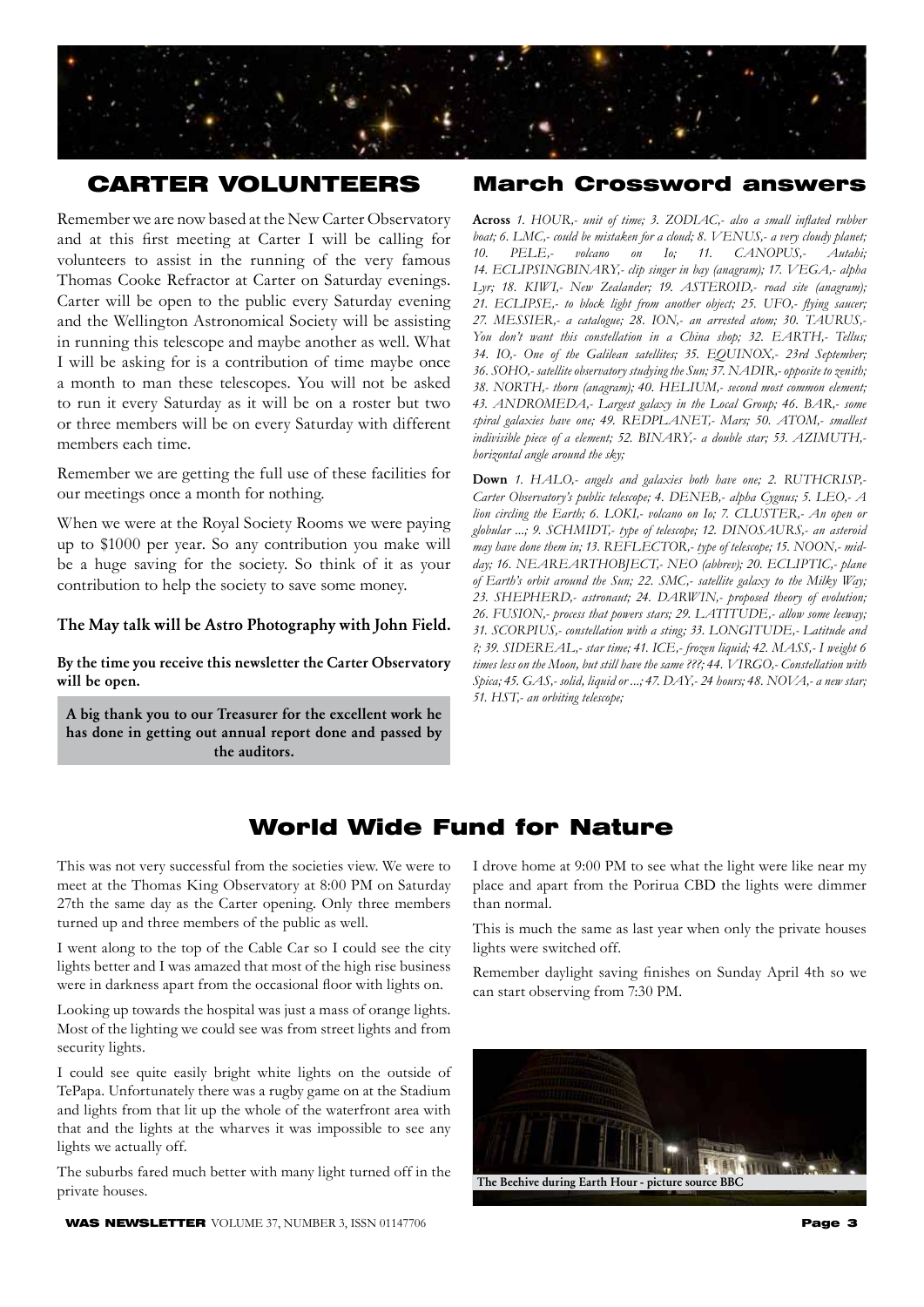

# CARTER VOLUNTEERS

Remember we are now based at the New Carter Observatory and at this first meeting at Carter I will be calling for volunteers to assist in the running of the very famous Thomas Cooke Refractor at Carter on Saturday evenings. Carter will be open to the public every Saturday evening and the Wellington Astronomical Society will be assisting in running this telescope and maybe another as well. What I will be asking for is a contribution of time maybe once a month to man these telescopes. You will not be asked to run it every Saturday as it will be on a roster but two or three members will be on every Saturday with different members each time.

Remember we are getting the full use of these facilities for our meetings once a month for nothing.

When we were at the Royal Society Rooms we were paying up to \$1000 per year. So any contribution you make will be a huge saving for the society. So think of it as your contribution to help the society to save some money.

#### The May talk will be Astro Photography with John Field.

By the time you receive this newsletter the Carter Observatory will be open.

A big thank you to our Treasurer for the excellent work he has done in getting out annual report done and passed by the auditors.

#### March Crossword answers

Across 1. HOUR,- unit of time; 3. ZODIAC,- also a small inflated rubber *boat; 6. LMC,- could be mistaken for a cloud; 8. VENUS,- a very cloudy planet;* 10. PELE,- volcano on Io; 11. CANOPUS,- Autahi; *14. ECLIPSINGBINARY'- clip singer in bay (anagram); 17. VEGA'- alpha*  Lyr; 18. KIWI,- New Zealander; 19. ASTEROID,- road site (anagram); 21. ECLIPSE,- to block light from another object; 25. UFO,- flying saucer; *27. MESSIER'- a catalogue; 28. ION'- an arrested atom; 30. TAURUS'-*  You don't want this constellation in a China shop; 32. EARTH,- Tellus; *34. IO'- One of the Galilean satellites; 35. EQUINOX'- 23rd September; 36. SOHO'- satellite observatory studying the Sun; 37. NADIR'- opposite to zenith; 38. NORTH'- thorn (anagram); 40. HELIUM'- second most common element; 43. ANDROMEDA'- Largest galaxy in the Local Group; 46. BAR'- some*  spiral galaxies have one; 49. REDPLANET,- Mars; 50. ATOM,- smallest indivisible piece of a element; 52. BINARY,- a double star; 53. AZIMUTH,*horizontal angle around the sky;*

Down 1. HALO,- angels and galaxies both have one; 2. RUTHCRISP,-Carter Observatory's public telescope; 4. DENEB,- alpha Cygnus; 5. LEO,- A *lion circling the Earth; 6. LOKI,- volcano on Io; 7. CLUSTER,- An open or globular ...; 9. SCHMIDT'- type of telescope; 12. DINOSAURS'- an asteroid*  may have done them in; 13. REFLECTOR,- type of telescope; 15. NOON,- midday; 16. NEAREARTHOBJECT,- NEO (abbrev); 20. ECLIPTIC,- plane *of Earth's orbit around the Sun; 22. SMC'- satellite galaxy to the Milky Way; 23. SHEPHERD'- astronaut; 24. DARWIN'- proposed theory of evolution; 26. FUSION'- process that powers stars; 29. LATITUDE'- allow some leeway; 31. SCORPIUS'- constellation with a sting; 33. LONGITUDE'- Latitude and ?; 39. SIDEREAL'- star time; 41. ICE'- frozen liquid; 42. MASS'- I weight 6*  times less on the Moon, but still have the same ???; 44. VIRGO,- Constellation with *Spica; 45. GAS'- solid, liquid or ...; 47. DAY'- 24 hours; 48. NOVA'- a new star; 51. HST'- an orbiting telescope;*

# World Wide Fund for Nature

This was not very successful from the societies view. We were to meet at the Thomas King Observatory at 8:00 PM on Saturday 27th the same day as the Carter opening. Only three members turned up and three members of the public as well.

I went along to the top of the Cable Car so I could see the city lights better and I was amazed that most of the high rise business were in darkness apart from the occasional floor with lights on.

Looking up towards the hospital was just a mass of orange lights. Most of the lighting we could see was from street lights and from security lights.

I could see quite easily bright white lights on the outside of TePapa. Unfortunately there was a rugby game on at the Stadium and lights from that lit up the whole of the waterfront area with that and the lights at the wharves it was impossible to see any lights we actually off.

The suburbs fared much better with many light turned off in the private houses.

**WAS NEWSLETTER** VOLUME 37, NUMBER 3, ISSN 01147706 **Page 3** 

I drove home at 9:00 PM to see what the light were like near my place and apart from the Porirua CBD the lights were dimmer than normal.

This is much the same as last year when only the private houses lights were switched off.

Remember daylight saving finishes on Sunday April 4th so we can start observing from 7:30 PM.

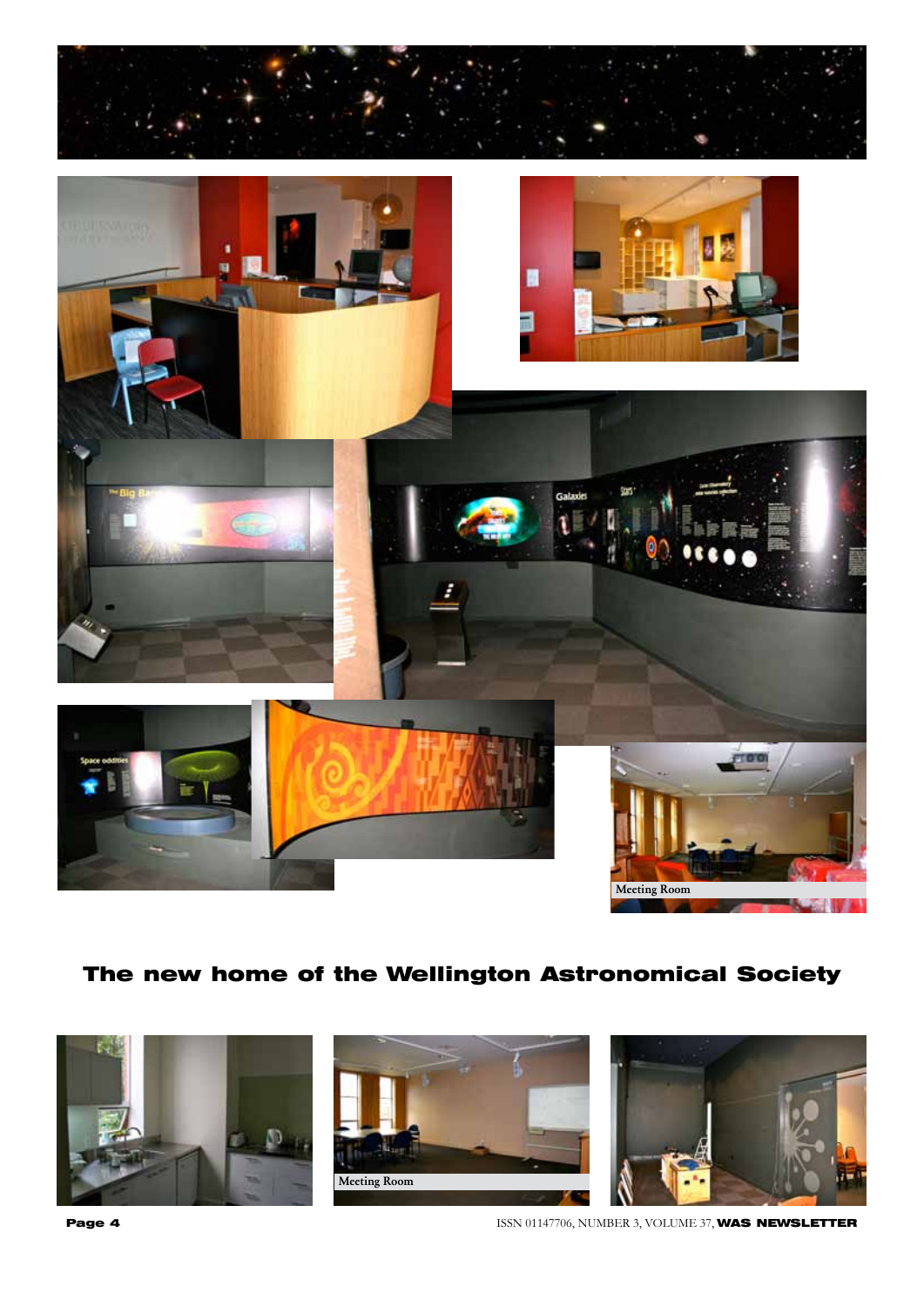

# The new home of the Wellington Astronomical Society







**Page 4 ISSN 01147706, NUMBER 3, VOLUME 37, WAS NEWSLETTER**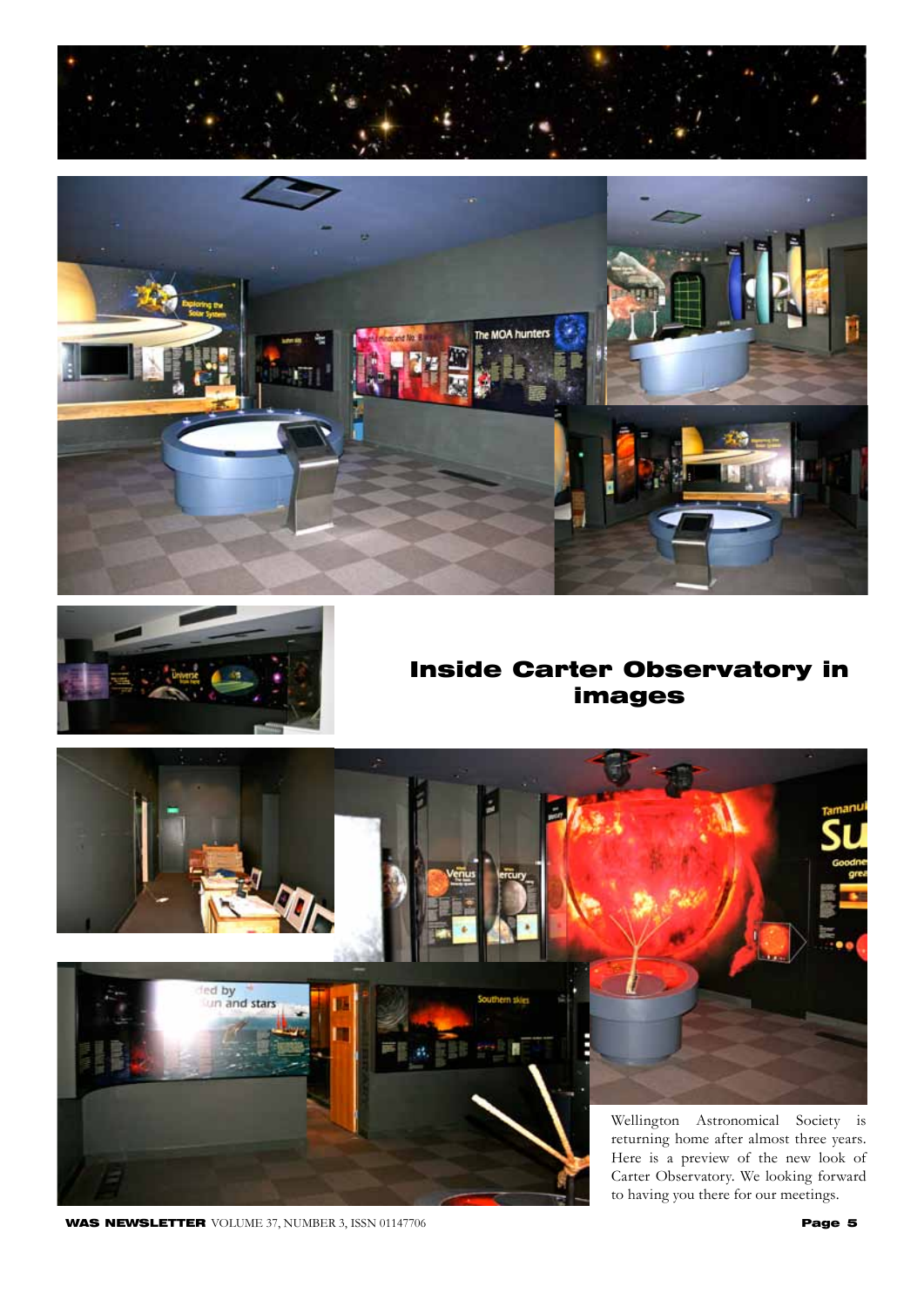





# Inside Carter Observatory in images



**WAS NEWSLETTER** VOLUME 37, NUMBER 3, ISSN 01147706 **Page 5** 

to having you there for our meetings.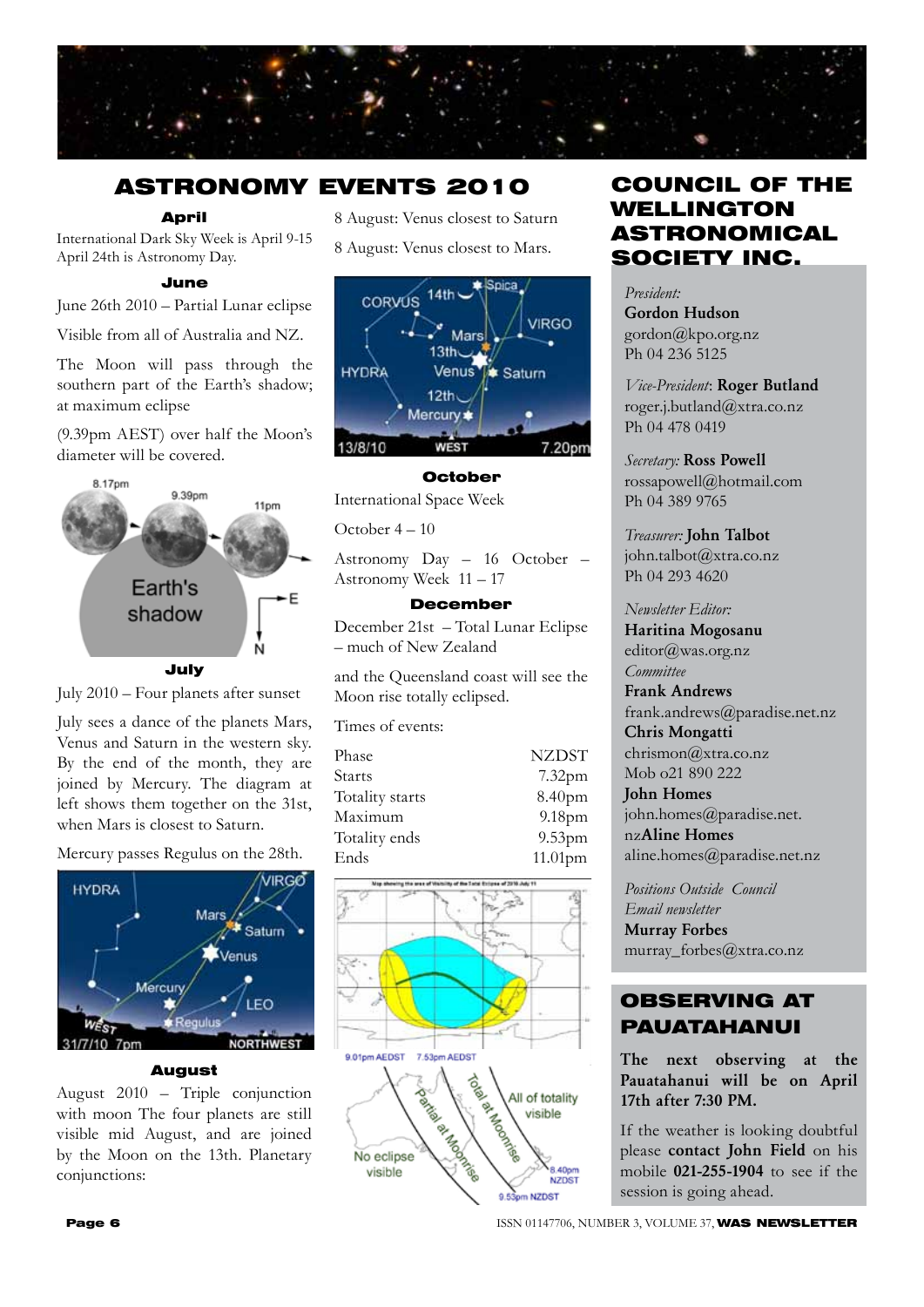

# ASTRONOMY EVENTS 2010

#### April

International Dark Sky Week is April 9-15 April 24th is Astronomy Day.

#### June

June 26th 2010 – Partial Lunar eclipse

Visible from all of Australia and NZ.

The Moon will pass through the southern part of the Earth's shadow; at maximum eclipse

(9.39pm AEST) over half the Moon's diameter will be covered.





July sees a dance of the planets Mars, Venus and Saturn in the western sky. By the end of the month, they are joined by Mercury. The diagram at left shows them together on the 31st, when Mars is closest to Saturn.



#### August

August 2010 – Triple conjunction with moon The four planets are still visible mid August, and are joined by the Moon on the 13th. Planetary conjunctions:

8 August: Venus closest to Saturn 8 August: Venus closest to Mars.



#### October

International Space Week

October 4 – 10

Astronomy Day – 16 October – Astronomy Week 11 – 17

#### December

December 21st – Total Lunar Eclipse – much of New Zealand

and the Queensland coast will see the Moon rise totally eclipsed.

Times of events:

| Phase           | <b>NZDST</b>       |
|-----------------|--------------------|
| Starts          | 7.32 <sub>pm</sub> |
| Totality starts | 8.40pm             |
| Maximum         | 9.18pm             |
| Totality ends   | 9.53 <sub>pm</sub> |
| Ends            | $11.01$ pm         |



# COUNCIL OF THE WELLINGTON ASTRONOMICAL SOCIETY INC.

*President:*  Gordon Hudson gordon@kpo.org.nz Ph 04 236 5125

*Vice-President*: Roger Butland roger.j.butland@xtra.co.nz Ph 04 478 0419

*Secretary:* Ross Powell rossapowell@hotmail.com Ph 04 389 9765

*Treasurer:* John Talbot john.talbot@xtra.co.nz Ph 04 293 4620

#### *Newsletter Editor:*

Haritina Mogosanu editor@was.org.nz *Committee* 

Frank Andrews frank.andrews@paradise.net.nz

Chris Mongatti chrismon@xtra.co.nz Mob o21 890 222

John Homes john.homes@paradise.net. nzAline Homes aline.homes@paradise.net.nz

*Positions Outside Council Email newsletter* Murray Forbes murray\_forbes@xtra.co.nz

## OBSERVING AT PAUATAHANUI

The next observing at the Pauatahanui will be on April 17th after 7:30 PM.

If the weather is looking doubtful please contact John Field on his mobile 021-255-1904 to see if the session is going ahead.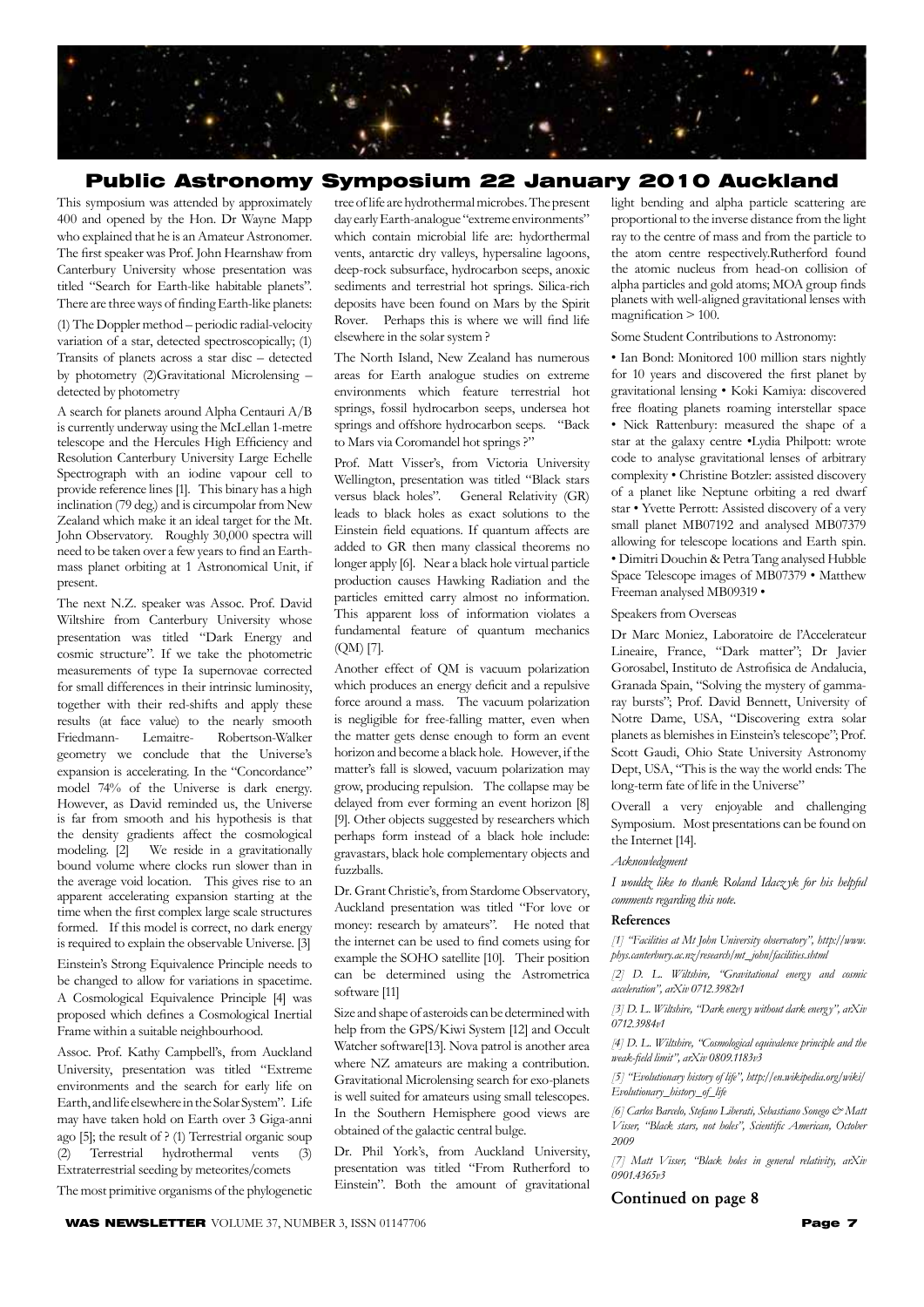

#### Public Astronomy Symposium 22 January 2010 Auckland

This symposium was attended by approximately 400 and opened by the Hon. Dr Wayne Mapp who explained that he is an Amateur Astronomer. The first speaker was Prof. John Hearnshaw from Canterbury University whose presentation was titled "Search for Earth-like habitable planets". There are three ways of finding Earth-like planets:

(1) The Doppler method – periodic radial-velocity variation of a star, detected spectroscopically; (1) Transits of planets across a star disc – detected by photometry (2)Gravitational Microlensing – detected by photometry

A search for planets around Alpha Centauri A/B is currently underway using the McLellan 1-metre telescope and the Hercules High Efficiency and Resolution Canterbury University Large Echelle Spectrograph with an iodine vapour cell to provide reference lines [1]. This binary has a high inclination (79 deg.) and is circumpolar from New Zealand which make it an ideal target for the Mt. John Observatory. Roughly 30,000 spectra will need to be taken over a few years to find an Earthmass planet orbiting at 1 Astronomical Unit, if present.

The next N.Z. speaker was Assoc. Prof. David Wiltshire from Canterbury University whose presentation was titled "Dark Energy and cosmic structure". If we take the photometric measurements of type Ia supernovae corrected for small differences in their intrinsic luminosity, together with their red-shifts and apply these results (at face value) to the nearly smooth<br>Friedmann- Lemaitre- Robertson-Walker Friedmann- Lemaitre- Robertson-Walker geometry we conclude that the Universe's expansion is accelerating. In the "Concordance" model 74% of the Universe is dark energy. However, as David reminded us, the Universe is far from smooth and his hypothesis is that the density gradients affect the cosmological modeling. [2] We reside in a gravitationally bound volume where clocks run slower than in the average void location. This gives rise to an apparent accelerating expansion starting at the time when the first complex large scale structures formed. If this model is correct, no dark energy is required to explain the observable Universe. [3]

Einstein's Strong Equivalence Principle needs to be changed to allow for variations in spacetime. A Cosmological Equivalence Principle [4] was proposed which defines a Cosmological Inertial Frame within a suitable neighbourhood.

Assoc. Prof. Kathy Campbell's, from Auckland University, presentation was titled "Extreme environments and the search for early life on Earth, and life elsewhere in the Solar System". Life may have taken hold on Earth over 3 Giga-anni ago [5]; the result of ? (1) Terrestrial organic soup (2) Terrestrial hydrothermal vents (3) Extraterrestrial seeding by meteorites/comets

The most primitive organisms of the phylogenetic

**WAS NEWSLETTER** VOLUME 37, NUMBER 3, ISSN 01147706 **Page 7** 

tree of life are hydrothermal microbes. The present day early Earth-analogue "extreme environments" which contain microbial life are: hydorthermal vents, antarctic dry valleys, hypersaline lagoons, deep-rock subsurface, hydrocarbon seeps, anoxic sediments and terrestrial hot springs. Silica-rich deposits have been found on Mars by the Spirit Rover. Perhaps this is where we will find life elsewhere in the solar system ?

The North Island, New Zealand has numerous areas for Earth analogue studies on extreme environments which feature terrestrial hot springs, fossil hydrocarbon seeps, undersea hot springs and offshore hydrocarbon seeps. "Back to Mars via Coromandel hot springs ?"

Prof. Matt Visser's, from Victoria University Wellington, presentation was titled "Black stars versus black holes". General Relativity (GR) leads to black holes as exact solutions to the Einstein field equations. If quantum affects are added to GR then many classical theorems no longer apply [6]. Near a black hole virtual particle production causes Hawking Radiation and the particles emitted carry almost no information. This apparent loss of information violates a fundamental feature of quantum mechanics (QM) [7].

Another effect of QM is vacuum polarization which produces an energy deficit and a repulsive force around a mass. The vacuum polarization is negligible for free-falling matter, even when the matter gets dense enough to form an event horizon and become a black hole. However, if the matter's fall is slowed, vacuum polarization may grow, producing repulsion. The collapse may be delayed from ever forming an event horizon [8] [9]. Other objects suggested by researchers which perhaps form instead of a black hole include: gravastars, black hole complementary objects and fuzzballs.

Dr. Grant Christie's, from Stardome Observatory, Auckland presentation was titled "For love or money: research by amateurs". He noted that the internet can be used to find comets using for example the SOHO satellite [10]. Their position can be determined using the Astrometrica software [11]

Size and shape of asteroids can be determined with help from the GPS/Kiwi System [12] and Occult Watcher software[13]. Nova patrol is another area where NZ amateurs are making a contribution. Gravitational Microlensing search for exo-planets is well suited for amateurs using small telescopes. In the Southern Hemisphere good views are obtained of the galactic central bulge.

Dr. Phil York's, from Auckland University, presentation was titled "From Rutherford to Einstein". Both the amount of gravitational light bending and alpha particle scattering are proportional to the inverse distance from the light ray to the centre of mass and from the particle to the atom centre respectively.Rutherford found the atomic nucleus from head-on collision of alpha particles and gold atoms; MOA group finds planets with well-aligned gravitational lenses with magnification > 100.

Some Student Contributions to Astronomy:

• Ian Bond: Monitored 100 million stars nightly for 10 years and discovered the first planet by gravitational lensing • Koki Kamiya: discovered free floating planets roaming interstellar space • Nick Rattenbury: measured the shape of a star at the galaxy centre •Lydia Philpott: wrote code to analyse gravitational lenses of arbitrary complexity • Christine Botzler: assisted discovery of a planet like Neptune orbiting a red dwarf star • Yvette Perrott: Assisted discovery of a very small planet MB07192 and analysed MB07379 allowing for telescope locations and Earth spin. • Dimitri Douchin & Petra Tang analysed Hubble Space Telescope images of MB07379 • Matthew Freeman analysed MB09319 •

Speakers from Overseas

Dr Marc Moniez, Laboratoire de l'Accelerateur Lineaire, France, "Dark matter"; Dr Javier Gorosabel, Instituto de Astrofisica de Andalucia, Granada Spain, "Solving the mystery of gammaray bursts"; Prof. David Bennett, University of Notre Dame, USA, "Discovering extra solar planets as blemishes in Einstein's telescope"; Prof. Scott Gaudi, Ohio State University Astronomy Dept, USA, "This is the way the world ends: The long-term fate of life in the Universe"

Overall a very enjoyable and challenging Symposium. Most presentations can be found on the Internet [14].

*Acknowledgment*

*I wouldz like to thank Roland Idacz yk for his helpful comments regarding this note.*

#### References

*[1] "Facilities at Mt John University observatory", http://www. phys.canterbury.ac.nz/research/mt\_john/facilities.shtml*

*[2] D. L. Wiltshire, "Gravitational energy and cosmic acceleration", arXiv 0712.3982v1*

*[3] D. L. Wiltshire, "Dark energy without dark energy", arXiv 0712.3984v1*

*[4] D. L. Wiltshire, "Cosmological equivalence principle and the weak-field limit", arXiv 0809.1183v3*

*[5] "Evolutionary history of life", http://en.wikipedia.org/wiki/ Evolutionary\_history\_of\_life*

*[6] Carlos Barcelo, Stefano Liberati, Sebastiano Sonego & Matt Visser, "Black stars, not holes", Scientific American, October 2009*

*[7] Matt Visser, "Black holes in general relativity, arXiv 0901.4365v3*

#### Continued on page 8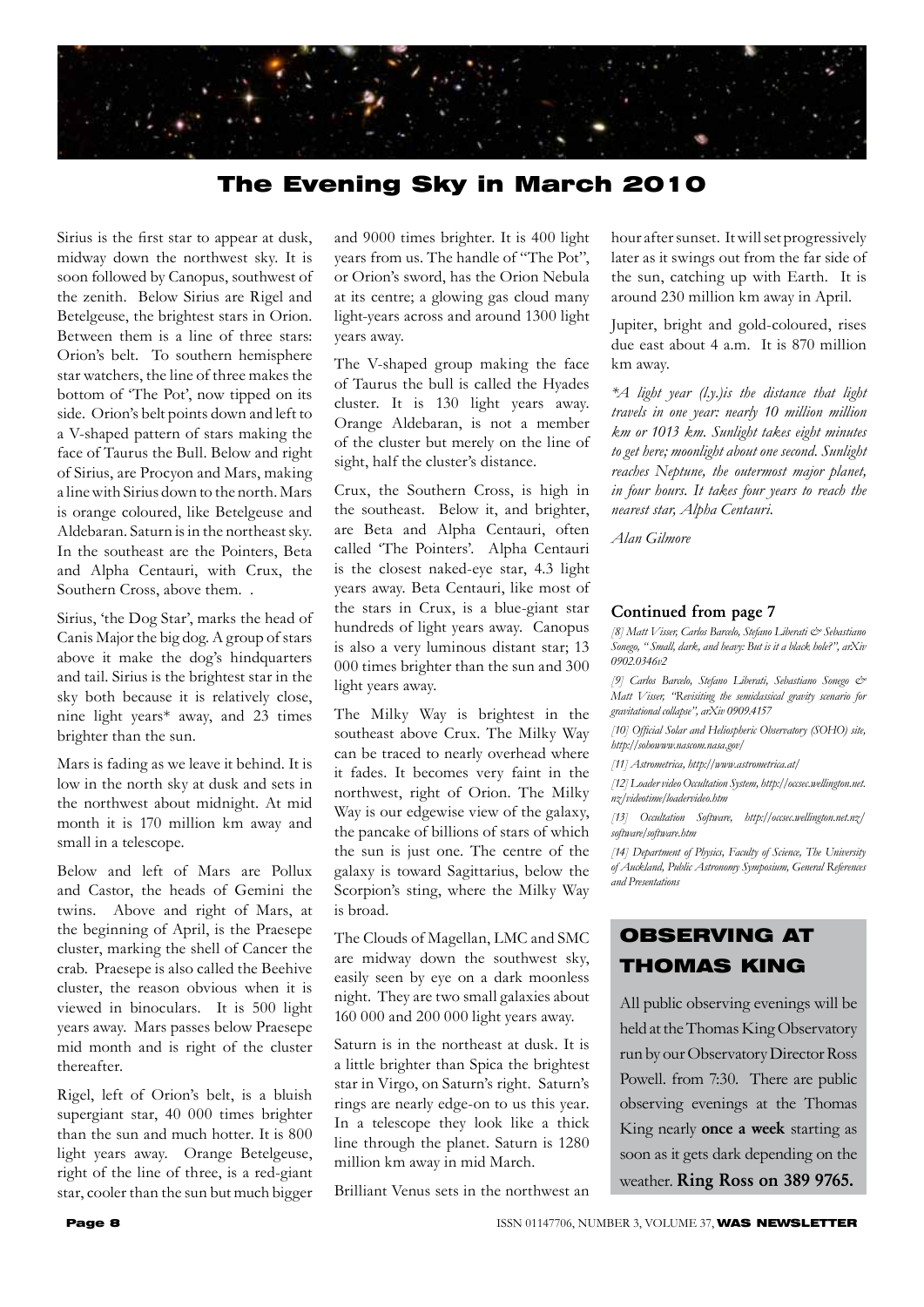

# The Evening Sky in March 2010

Sirius is the first star to appear at dusk, midway down the northwest sky. It is soon followed by Canopus, southwest of the zenith. Below Sirius are Rigel and Betelgeuse, the brightest stars in Orion. Between them is a line of three stars: Orion's belt. To southern hemisphere star watchers, the line of three makes the bottom of 'The Pot', now tipped on its side. Orion's belt points down and left to a V-shaped pattern of stars making the face of Taurus the Bull. Below and right of Sirius, are Procyon and Mars, making a line with Sirius down to the north. Mars is orange coloured, like Betelgeuse and Aldebaran. Saturn is in the northeast sky. In the southeast are the Pointers, Beta and Alpha Centauri, with Crux, the Southern Cross, above them. .

Sirius, 'the Dog Star', marks the head of Canis Major the big dog. A group of stars above it make the dog's hindquarters and tail. Sirius is the brightest star in the sky both because it is relatively close, nine light years\* away, and 23 times brighter than the sun.

Mars is fading as we leave it behind. It is low in the north sky at dusk and sets in the northwest about midnight. At mid month it is 170 million km away and small in a telescope.

Below and left of Mars are Pollux and Castor, the heads of Gemini the twins. Above and right of Mars, at the beginning of April, is the Praesepe cluster, marking the shell of Cancer the crab. Praesepe is also called the Beehive cluster, the reason obvious when it is viewed in binoculars. It is 500 light years away. Mars passes below Praesepe mid month and is right of the cluster thereafter.

Rigel, left of Orion's belt, is a bluish supergiant star, 40 000 times brighter than the sun and much hotter. It is 800 light years away. Orange Betelgeuse, right of the line of three, is a red-giant star, cooler than the sun but much bigger and 9000 times brighter. It is 400 light years from us. The handle of "The Pot", or Orion's sword, has the Orion Nebula at its centre; a glowing gas cloud many light-years across and around 1300 light years away.

The V-shaped group making the face of Taurus the bull is called the Hyades cluster. It is 130 light years away. Orange Aldebaran, is not a member of the cluster but merely on the line of sight, half the cluster's distance.

Crux, the Southern Cross, is high in the southeast. Below it, and brighter, are Beta and Alpha Centauri, often called 'The Pointers'. Alpha Centauri is the closest naked-eye star, 4.3 light years away. Beta Centauri, like most of the stars in Crux, is a blue-giant star hundreds of light years away. Canopus is also a very luminous distant star; 13 000 times brighter than the sun and 300 light years away.

The Milky Way is brightest in the southeast above Crux. The Milky Way can be traced to nearly overhead where it fades. It becomes very faint in the northwest, right of Orion. The Milky Way is our edgewise view of the galaxy, the pancake of billions of stars of which the sun is just one. The centre of the galaxy is toward Sagittarius, below the Scorpion's sting, where the Milky Way is broad.

The Clouds of Magellan, LMC and SMC are midway down the southwest sky, easily seen by eye on a dark moonless night. They are two small galaxies about 160 000 and 200 000 light years away.

Saturn is in the northeast at dusk. It is a little brighter than Spica the brightest star in Virgo, on Saturn's right. Saturn's rings are nearly edge-on to us this year. In a telescope they look like a thick line through the planet. Saturn is 1280 million km away in mid March.

Brilliant Venus sets in the northwest an

hour after sunset. It will set progressively later as it swings out from the far side of the sun, catching up with Earth. It is around 230 million km away in April.

Jupiter, bright and gold-coloured, rises due east about 4 a.m. It is 870 million km away.

*\*A light year (l.y.)is the distance that light travels in one year: nearly 10 million million km or 1013 km. Sunlight takes eight minutes to get here; moonlight about one second. Sunlight reaches Neptune, the outermost major planet, in four hours. It takes four years to reach the nearest star, Alpha Centauri.*

*Alan Gilmore*

#### Continued from page 7

*[8] Matt Visser, Carlos Barcelo, Stefano Liberati & Sebastiano Sonego, " Small, dark, and heavy: But is it a black hole?", arXiv 0902.0346v2*

*[9] Carlos Barcelo, Stefano Liberati, Sebastiano Sonego & Matt Visser, "Revisiting the semiclassical gravity scenario for gravitational collapse", arXiv 0909.4157*

*[10] Official Solar and Heliospheric Observatory (SOHO) site, http://sohowww.nascom.nasa.gov/*

*[11] Astrometrica, http://www.astrometrica.at/*

*[12] Loader video Occultation System, http://occsec.wellington.net. nz/videotime/loadervideo.htm*

*[13] Occultation Software, http://occsec.wellington.net.nz/ software/software.htm*

*[14] Department of Physics, Faculty of Science, The University of Auckland, Public Astronomy Symposium, General References and Presentations* 

# OBSERVING AT THOMAS KING

All public observing evenings will be held at the Thomas King Observatory run by our Observatory Director Ross Powell. from 7:30. There are public observing evenings at the Thomas King nearly once a week starting as soon as it gets dark depending on the weather. Ring Ross on 389 9765.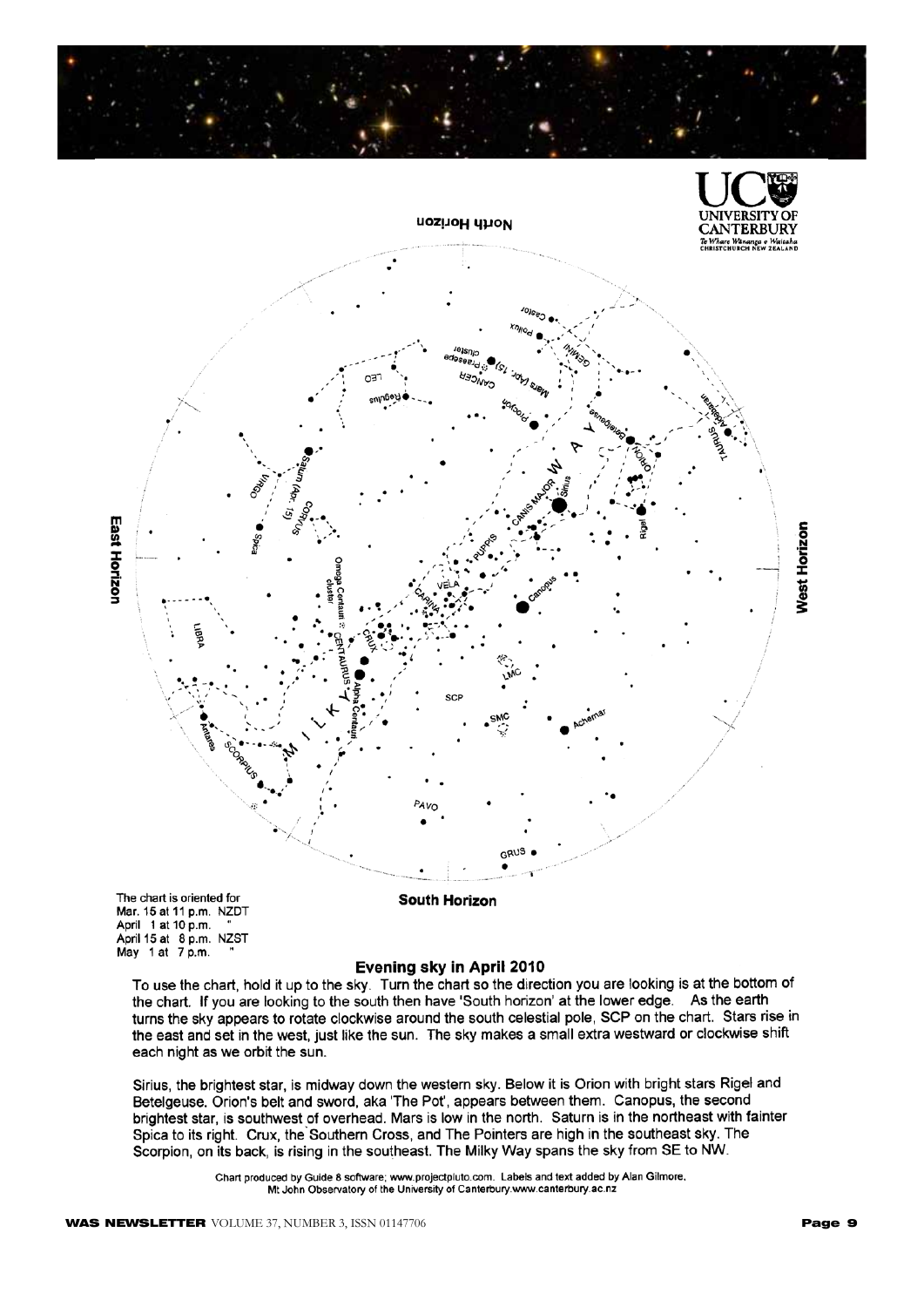



Mar. 15 at 11 p.m. NZDT April 1 at 10 p.m. "<br>April 15 at 8 p.m. NZST May 1 at 7 p.m.

#### Evening sky in April 2010

To use the chart, hold it up to the sky. Turn the chart so the direction you are looking is at the bottom of the chart. If you are looking to the south then have 'South horizon' at the lower edge. As the earth turns the sky appears to rotate clockwise around the south celestial pole, SCP on the chart. Stars rise in the east and set in the west, just like the sun. The sky makes a small extra westward or clockwise shift each night as we orbit the sun.

Sirius, the brightest star, is midway down the western sky. Below it is Orion with bright stars Rigel and Betelgeuse. Orion's belt and sword, aka 'The Pot', appears between them. Canopus, the second brightest star, is southwest of overhead. Mars is low in the north. Saturn is in the northeast with fainter Spica to its right. Crux, the Southern Cross, and The Pointers are high in the southeast sky. The Scorpion, on its back, is rising in the southeast. The Milky Way spans the sky from SE to NW.

> Chart produced by Guide 8 software; www.projectpluto.com. Labels and text added by Alan Gilmore, Mt John Observatory of the University of Canterbury.www.canterbury.ac.nz